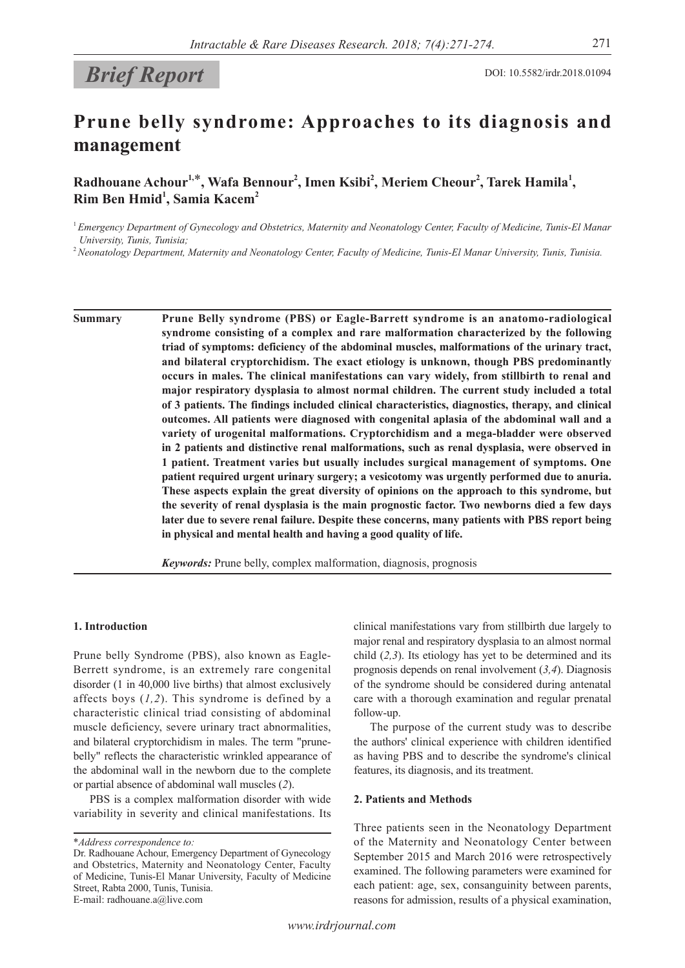# *Brief Report* DOI: 10.5582/irdr.2018.01094

## **Prune belly syndrome: Approaches to its diagnosis and management**

Radhouane Achour<sup>1,\*</sup>, Wafa Bennour<sup>2</sup>, Imen Ksibi<sup>2</sup>, Meriem Cheour<sup>2</sup>, Tarek Hamila<sup>1</sup>, **Rim Ben Hmid1 , Samia Kacem2**

<sup>1</sup>*Emergency Department of Gynecology and Obstetrics, Maternity and Neonatology Center, Faculty of Medicine, Tunis-El Manar University, Tunis, Tunisia;*

<sup>2</sup>*Neonatology Department, Maternity and Neonatology Center, Faculty of Medicine, Tunis-El Manar University, Tunis, Tunisia.*

**Summary Prune Belly syndrome (PBS) or Eagle-Barrett syndrome is an anatomo-radiological syndrome consisting of a complex and rare malformation characterized by the following triad of symptoms: deficiency of the abdominal muscles, malformations of the urinary tract, and bilateral cryptorchidism. The exact etiology is unknown, though PBS predominantly occurs in males. The clinical manifestations can vary widely, from stillbirth to renal and major respiratory dysplasia to almost normal children. The current study included a total of 3 patients. The findings included clinical characteristics, diagnostics, therapy, and clinical outcomes. All patients were diagnosed with congenital aplasia of the abdominal wall and a variety of urogenital malformations. Cryptorchidism and a mega-bladder were observed in 2 patients and distinctive renal malformations, such as renal dysplasia, were observed in 1 patient. Treatment varies but usually includes surgical management of symptoms. One patient required urgent urinary surgery; a vesicotomy was urgently performed due to anuria. These aspects explain the great diversity of opinions on the approach to this syndrome, but the severity of renal dysplasia is the main prognostic factor. Two newborns died a few days later due to severe renal failure. Despite these concerns, many patients with PBS report being in physical and mental health and having a good quality of life.**

*Keywords:* Prune belly, complex malformation, diagnosis, prognosis

#### **1. Introduction**

Prune belly Syndrome (PBS), also known as Eagle-Berrett syndrome, is an extremely rare congenital disorder (1 in 40,000 live births) that almost exclusively affects boys (*1,2*). This syndrome is defined by a characteristic clinical triad consisting of abdominal muscle deficiency, severe urinary tract abnormalities, and bilateral cryptorchidism in males. The term "prunebelly" reflects the characteristic wrinkled appearance of the abdominal wall in the newborn due to the complete or partial absence of abdominal wall muscles (*2*).

PBS is a complex malformation disorder with wide variability in severity and clinical manifestations. Its clinical manifestations vary from stillbirth due largely to major renal and respiratory dysplasia to an almost normal child (*2,3*). Its etiology has yet to be determined and its prognosis depends on renal involvement (*3,4*). Diagnosis of the syndrome should be considered during antenatal care with a thorough examination and regular prenatal follow-up.

The purpose of the current study was to describe the authors' clinical experience with children identified as having PBS and to describe the syndrome's clinical features, its diagnosis, and its treatment.

#### **2. Patients and Methods**

Three patients seen in the Neonatology Department of the Maternity and Neonatology Center between September 2015 and March 2016 were retrospectively examined. The following parameters were examined for each patient: age, sex, consanguinity between parents, reasons for admission, results of a physical examination,

<sup>\*</sup>*Address correspondence to:*

Dr. Radhouane Achour, Emergency Department of Gynecology and Obstetrics, Maternity and Neonatology Center, Faculty of Medicine, Tunis-El Manar University, Faculty of Medicine Street, Rabta 2000, Tunis, Tunisia. E-mail: radhouane.a@live.com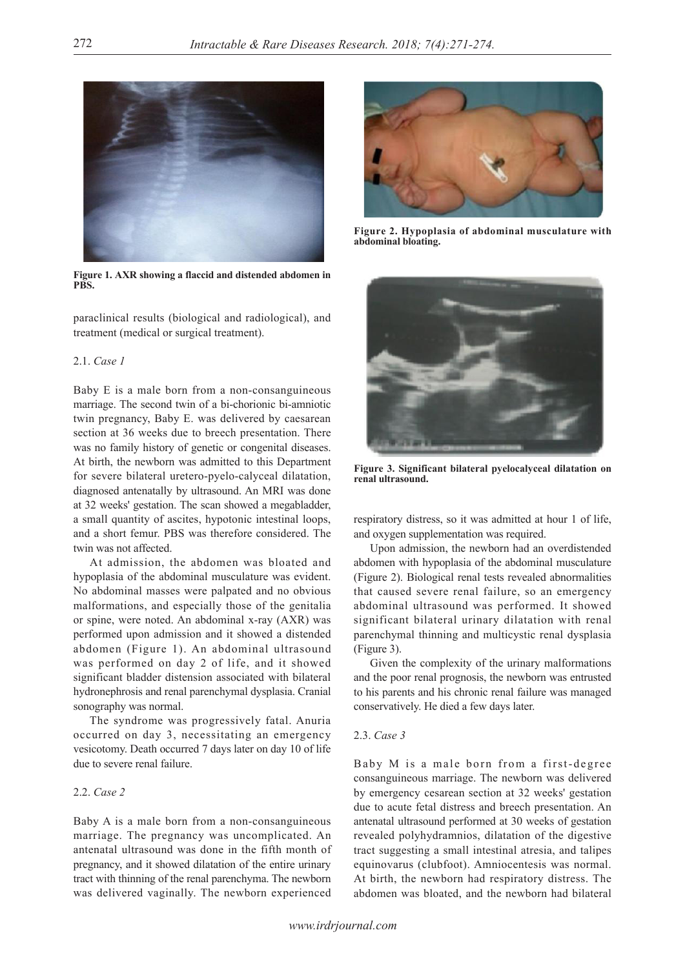

**Figure 1. AXR showing a flaccid and distended abdomen in PBS.**

paraclinical results (biological and radiological), and treatment (medical or surgical treatment).

#### 2.1. *Case 1*

Baby E is a male born from a non-consanguineous marriage. The second twin of a bi-chorionic bi-amniotic twin pregnancy, Baby E. was delivered by caesarean section at 36 weeks due to breech presentation. There was no family history of genetic or congenital diseases. At birth, the newborn was admitted to this Department for severe bilateral uretero-pyelo-calyceal dilatation, diagnosed antenatally by ultrasound. An MRI was done at 32 weeks' gestation. The scan showed a megabladder, a small quantity of ascites, hypotonic intestinal loops, and a short femur. PBS was therefore considered. The twin was not affected.

At admission, the abdomen was bloated and hypoplasia of the abdominal musculature was evident. No abdominal masses were palpated and no obvious malformations, and especially those of the genitalia or spine, were noted. An abdominal x-ray (AXR) was performed upon admission and it showed a distended abdomen (Figure 1). An abdominal ultrasound was performed on day 2 of life, and it showed significant bladder distension associated with bilateral hydronephrosis and renal parenchymal dysplasia. Cranial sonography was normal.

The syndrome was progressively fatal. Anuria occurred on day 3, necessitating an emergency vesicotomy. Death occurred 7 days later on day 10 of life due to severe renal failure.

### 2.2. *Case 2*

Baby A is a male born from a non-consanguineous marriage. The pregnancy was uncomplicated. An antenatal ultrasound was done in the fifth month of pregnancy, and it showed dilatation of the entire urinary tract with thinning of the renal parenchyma. The newborn was delivered vaginally. The newborn experienced



**Figure 2. Hypoplasia of abdominal musculature with abdominal bloating.**



**Figure 3. Significant bilateral pyelocalyceal dilatation on renal ultrasound.**

respiratory distress, so it was admitted at hour 1 of life, and oxygen supplementation was required.

Upon admission, the newborn had an overdistended abdomen with hypoplasia of the abdominal musculature (Figure 2). Biological renal tests revealed abnormalities that caused severe renal failure, so an emergency abdominal ultrasound was performed. It showed significant bilateral urinary dilatation with renal parenchymal thinning and multicystic renal dysplasia (Figure 3).

Given the complexity of the urinary malformations and the poor renal prognosis, the newborn was entrusted to his parents and his chronic renal failure was managed conservatively. He died a few days later.

#### 2.3. *Case 3*

Baby M is a male born from a first-degree consanguineous marriage. The newborn was delivered by emergency cesarean section at 32 weeks' gestation due to acute fetal distress and breech presentation. An antenatal ultrasound performed at 30 weeks of gestation revealed polyhydramnios, dilatation of the digestive tract suggesting a small intestinal atresia, and talipes equinovarus (clubfoot). Amniocentesis was normal. At birth, the newborn had respiratory distress. The abdomen was bloated, and the newborn had bilateral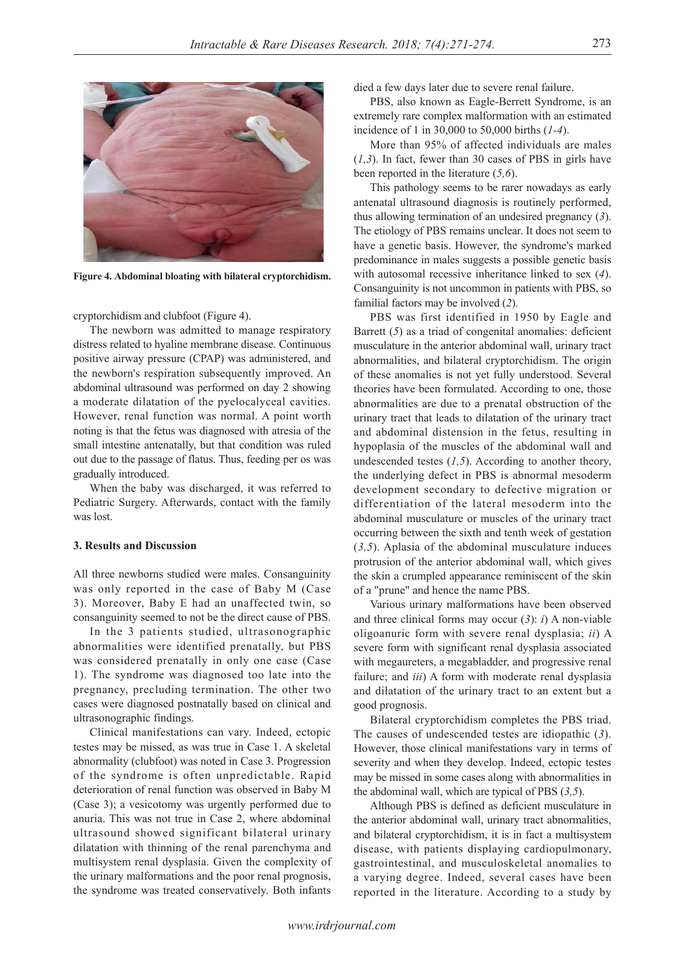

**Figure 4. Abdominal bloating with bilateral cryptorchidism.**

cryptorchidism and clubfoot (Figure 4).

The newborn was admitted to manage respiratory distress related to hyaline membrane disease. Continuous positive airway pressure (CPAP) was administered, and the newborn's respiration subsequently improved. An abdominal ultrasound was performed on day 2 showing a moderate dilatation of the pyelocalyceal cavities. However, renal function was normal. A point worth noting is that the fetus was diagnosed with atresia of the small intestine antenatally, but that condition was ruled out due to the passage of flatus. Thus, feeding per os was gradually introduced.

When the baby was discharged, it was referred to Pediatric Surgery. Afterwards, contact with the family was lost.

#### **3. Results and Discussion**

All three newborns studied were males. Consanguinity was only reported in the case of Baby M (Case 3). Moreover, Baby E had an unaffected twin, so consanguinity seemed to not be the direct cause of PBS.

In the 3 patients studied, ultrasonographic abnormalities were identified prenatally, but PBS was considered prenatally in only one case (Case 1). The syndrome was diagnosed too late into the pregnancy, precluding termination. The other two cases were diagnosed postnatally based on clinical and ultrasonographic findings.

Clinical manifestations can vary. Indeed, ectopic testes may be missed, as was true in Case 1. A skeletal abnormality (clubfoot) was noted in Case 3. Progression of the syndrome is often unpredictable. Rapid deterioration of renal function was observed in Baby M (Case 3); a vesicotomy was urgently performed due to anuria. This was not true in Case 2, where abdominal ultrasound showed significant bilateral urinary dilatation with thinning of the renal parenchyma and multisystem renal dysplasia. Given the complexity of the urinary malformations and the poor renal prognosis, the syndrome was treated conservatively. Both infants

died a few days later due to severe renal failure.

PBS, also known as Eagle-Berrett Syndrome, is an extremely rare complex malformation with an estimated incidence of 1 in 30,000 to 50,000 births (*1-4*).

More than 95% of affected individuals are males (*1,3*). In fact, fewer than 30 cases of PBS in girls have been reported in the literature (*5,6*).

This pathology seems to be rarer nowadays as early antenatal ultrasound diagnosis is routinely performed, thus allowing termination of an undesired pregnancy (*3*). The etiology of PBS remains unclear. It does not seem to have a genetic basis. However, the syndrome's marked predominance in males suggests a possible genetic basis with autosomal recessive inheritance linked to sex (*4*). Consanguinity is not uncommon in patients with PBS, so familial factors may be involved (*2*).

PBS was first identified in 1950 by Eagle and Barrett (5) as a triad of congenital anomalies: deficient musculature in the anterior abdominal wall, urinary tract abnormalities, and bilateral cryptorchidism. The origin of these anomalies is not yet fully understood. Several theories have been formulated. According to one, those abnormalities are due to a prenatal obstruction of the urinary tract that leads to dilatation of the urinary tract and abdominal distension in the fetus, resulting in hypoplasia of the muscles of the abdominal wall and undescended testes (*1,5*). According to another theory, the underlying defect in PBS is abnormal mesoderm development secondary to defective migration or differentiation of the lateral mesoderm into the abdominal musculature or muscles of the urinary tract occurring between the sixth and tenth week of gestation (*3,5*). Aplasia of the abdominal musculature induces protrusion of the anterior abdominal wall, which gives the skin a crumpled appearance reminiscent of the skin of a "prune" and hence the name PBS.

Various urinary malformations have been observed and three clinical forms may occur (*3*): *i*) A non-viable oligoanuric form with severe renal dysplasia; *ii*) A severe form with significant renal dysplasia associated with megaureters, a megabladder, and progressive renal failure; and *iii*) A form with moderate renal dysplasia and dilatation of the urinary tract to an extent but a good prognosis.

Bilateral cryptorchidism completes the PBS triad. The causes of undescended testes are idiopathic (*3*). However, those clinical manifestations vary in terms of severity and when they develop. Indeed, ectopic testes may be missed in some cases along with abnormalities in the abdominal wall, which are typical of PBS (*3,5*).

Although PBS is defined as deficient musculature in the anterior abdominal wall, urinary tract abnormalities, and bilateral cryptorchidism, it is in fact a multisystem disease, with patients displaying cardiopulmonary, gastrointestinal, and musculoskeletal anomalies to a varying degree. Indeed, several cases have been reported in the literature. According to a study by